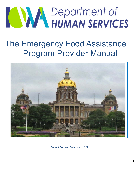

# The Emergency Food Assistance Program Provider Manual



Current Revision Date: March 2021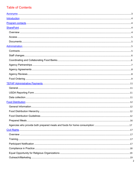# **Table of Contents**

| 2 |
|---|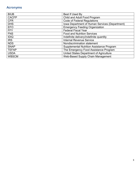# **Acronyms**

| <b>BIUB</b>  | Best If Used By                                  |
|--------------|--------------------------------------------------|
| <b>CACFP</b> | Child and Adult Food Program                     |
| <b>CFR</b>   | <b>Code of Federal Regulations</b>               |
| <b>DHS</b>   | Iowa Department of Human Services (Department)   |
| <b>EFO</b>   | <b>Emergency Feeding Organization</b>            |
| <b>FFY</b>   | <b>Federal Fiscal Year</b>                       |
| <b>FNS</b>   | <b>Food and Nutrition Services</b>               |
| <b>IDIQ</b>  | Indefinite delivery/indefinite quantity          |
| <b>IRS</b>   | <b>Internal Revenue Service</b>                  |
| <b>NDS</b>   | Nondiscrimination statement                      |
| <b>SNAP</b>  | <b>Supplemental Nutrition Assistance Program</b> |
| <b>TEFAP</b> | The Emergency Food Assistance Program            |
| <b>USDA</b>  | United States Department of Agriculture          |
| <b>WBSCM</b> | Web-Based Supply Chain Management                |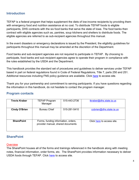# **Introduction**

TEFAP is a federal program that helps supplement the diets of low-income recipients by providing them with emergency food and nutrition assistance at no cost. To distribute TEFAP foods to eligible participants, DHS contracts with the six food banks that serve the state of Iowa. The food banks then contract with eligible agencies such as, pantries, soup kitchens and shelters to distribute foods. The eligible agencies are referred to as sub-recipient agencies throughout this manual.

In the event disasters or emergency declarations is issued by the President, the eligibility guidelines for participants throughout this manual may be amended at the discretion of the Department.

Food banks and sub-recipient agencies are not required to participate in TEFAP. By choosing to participate, food banks and sub-recipient agencies agree to operate their program in compliance with the rules established by the USDA and the Department.

This handbook provides the standard set of procedures and guidelines to deliver services under TEFAP based in part on federal regulations found in Code of Federal Regulations, Title 7, parts 250 and 251. Additional resources including FNS policy guidance are available. Click here to access site.

Thank you for your partnership and commitment to serving participants. If you have questions regarding the information in this handbook, do not hesitate to contact the program manager.

## **Program contacts**

| <b>Trevis Kraber</b> | <b>TEFAP Program</b><br>Manager                                          | 515-443-2736 | tkraber@dhs.state.ia.us    |
|----------------------|--------------------------------------------------------------------------|--------------|----------------------------|
| <b>Cindy O'Brien</b> | <b>Bureau Chief</b>                                                      | 515-281-5410 | cobrien@dhs.state.ia.us    |
| <b>SharePoint</b>    | Forms, funding information, orders,<br>provider manual, shared documents |              | Click here to access site. |

# **SharePoint**

#### **Overview**

The SharePoint houses all of the forms and trainings referenced in the handbook along with meeting notes, financial information, order forms, etc. The SharePoint provides information necessary to deliver USDA foods through TEFAP. Click here to access site.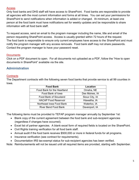#### **Access**

Only food banks and DHS staff will have access to SharePoint. Food banks are responsible to provide all agencies with the most current information and forms at all times. You can set your permissions for SharePoint to send notifications when information is added or changed. At minimum, at least one person at the food bank must have notifications set for weekly updates and be responsible to share information with all food bank staff.

To request access, send an email to the program manager including the name, title and email of the person requesting SharePoint access. Access is usually granted within 72 hours of the request. The food bank is responsible to ensure only current employees have access to the SharePoint and must notify the program manager with any access removals. Food bank staff may not share passwords. Contact the program manager to have your password reset.

#### **Documents**

Click on a PDF document to open. For all documents not uploaded as a PDF, follow the "How to open documents in SharePoint" available via the site.

# **Administration**

## **Contracts**

The Department contracts with the following seven food banks that provide service to all 99 counties in Iowa.

| <b>Food Bank</b>            | Location       |  |
|-----------------------------|----------------|--|
| Food Bank for the Heartland | Omaha, NE      |  |
| Food Bank of Iowa           | Des Moines, IA |  |
| Food Bank of Siouxland      | Sioux City, IA |  |
| <b>HACAP Food Reservoir</b> | Hiawatha, IA   |  |
| Northeast Iowa Food Bank    | Waterloo, IA   |  |
| River Bend Food Bank        | Davenport, IA  |  |

The following items must be provided to TEFAP program manager annually by September 1st:

- Blank copy of the current agreement between the food bank and sub-recipient agencies (regardless if changes have occurred).
- Excel list of partner agencies. A blank excel form of required fields is located on the SharePoint.
- Civil Rights training verification for all food bank staff.
- Annual audit if the food bank receives \$500,000 or more in federal funds for all programs.
- Insurance verification (see contract for requirements).
- Documentation IRS tax-exempt status for sub-recipient agencies has been verified.

Note: Reimbursements will not be issued until all required items are provided, starting with September.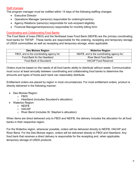## Staff changes

The program manager must be notified within 14 days of the following staffing changes:

- Executive Director
- Operations Manager /person(s) responsible for ordering/inventory
- Agency Relations /person(s) responsible for sub-recipient eligibility
- Financial Management/person(s) responsible for monthly billing form

## Coordinating and Collaborating Food Banks

The Food Bank of Iowa (FBOI) and the Northeast Iowa Food Bank (NEIFB) are the primary coordinating food banks for TEFAP. These banks are responsible for the ordering, receipting and temporary storage of USDA commodities as well as receipting and temporary storage, when applicable.

| <b>Des Moines Region</b>                  | <b>Waterloo Region</b>                     |
|-------------------------------------------|--------------------------------------------|
| FBOI, and is the coordinating agency for: | NEIFB, and is the coordinating agency for: |
| Food Bank for the Heartland               | <b>River Bend Food Bank</b>                |
| Food Bank of Siouxland                    | <b>HACAP Food Reservoir</b>                |

Orders must be based on the needs of all food banks ability to distribute without waste. Communication must occur at least annually between coordinating and collaborating food banks to determine the amounts and types of foods each bank can reasonably distribute.

Entitlement orders are placed by region in most circumstances. For most entitlement orders, product is directly delivered in the following manner:

- Des Moines Region:
	- o FBOI
	- o Heartland (includes Siouxland's allocation)
- Waterloo Region:
	- o NEIFB
	- o HACAP
	- o River Bend (includes St. Stephen's allocation)

When items are direct delivered only to FBOI and NEIFB, the delivery includes the allocation for all food banks in their respective region.

For the Waterloo region, whenever possible, orders will be delivered directly to NEIFB, HACAP and River Bend. For the Des Moines region, orders will be delivered directly to FBOI and Heartland. Any food bank that receives a direct delivery is responsible for the receipting and, when applicable, temporary storage of USDA products.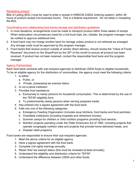#### Receipting product

Bills of Lading (BOL) must be used to enter a receipt in WBSCM (USDA ordering system), within 48 hours of product receipt (not business hours). This is a federal requirement. Do not delay in receipting the BOL.

Coordinating and collaborating food banks storage and distribution guidelines

- 1. In most situations, arrangements must be made to transport product within three weeks of receipt. When extenuation circumstances (need for a full-truck load, etc.) dictate, the program manager must be notified to approve additional time.
- 2. A food bank may not charge another bank for storage unless product is not retrieved as arranged. Any storage costs must be approved by the program manager.
- 3. Food banks that receive product outside of vendor direct delivery, should review the "Value of Foods Received" document on the SharePoint by the 20<sup>th</sup> of the month to ensure all product has been received. If product has not been received, contact the responsible food bank and the program manager.

#### Agency Partnerships:

Each food bank contracts with sub-recipient agencies to distribute USDA foods to eligible households. To be an eligible agency for the distribution of commodities, the agency must meet the following criteria:

- 1. Is either:
	- a. Public, or
	- b. Private, possessing tax exempt status
- 2. Is not a penal institution
- 3. Provides food assistance:
	- a. Exclusively to needy persons for household consumption. This is determined by the use of the TEFAP eligibility form.
	- b. To predominantly needy persons when serving prepared meals.
- 4. Has entered into a signed agreement with the food bank.
- 5. Falls into one of the following categories:
	- a. Emergency Feeding Organization (includes soup kitchens, food banks and food pantries);
	- b. Charitable institutions (including hospitals and retirement homes);
	- c. Summer camps for children or child nutrition programs providing food service;
	- d. Nutrition projects operating under the Older Americans Act of 1965, including projects that operate congregate nutrition sites and projects that provide home-delivered meals, and
	- e. Disaster relief programs.

Food banks are responsible to ensure their sub-recipient agencies:

- 1. Meet the above criteria for an eligible agency.
- 2. Have a signed agreement with the food bank.
- 3. Complete civil rights trainings annually.
- 4. Retain their tax exempt status (this must be reviewed at least annually).
- 5. Understand the eligibility and distribution criteria for TEFAP.
- 6. Understand the difference between USDA and other foods.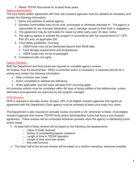7. Retain TEFAP documents for at least three years.

## Agency Agreements

The food banks written agreement with their sub-recipient agencies must be updated as necessary and contain the following information:

- 1. Name and address of partner agency.
- 2. Donated commodities may not be sold, exchanged or otherwise disposed of. The agency is responsible for any improper distribution, use or damage caused by their fault or negligence.
- 3. The agreement may be terminated for cause by either party upon 30 days' notice.
- 4. The agency agrees to operate the program in accordance with the requirements of 7 CFR Part 251 and, as applicable 250.
- 5. Food safety guidelines, including:
	- a. USDA foods may not be distributed beyond their BIUB date.
	- b. Food storage requirements and temperatures.
	- c. USDA foods may not be re-packaged.
- 6. Compliance with civil rights.

# Agency Reviews

Both the Department and food banks are required to complete agency reviews.

All reviews must be documented. When a corrective action is necessary, a response should be in writing and contain the following information:

- Date correction was made
- Action completed to address the deficiency
- When applicable, how the issue will keep from occurring again

All corrective actions must be completed within 60 days of being notified of the deficiencies, unless alternative arrangements are approved by the program manager.

# DHS Reviews

DHS is required to annually review, at least, 25% of all eligible recipient agencies that signed an agreement with the Department. Each agency must be reviewed at least once every four years.

The Department is also required to annually review one-tenth or 20, whichever is fewer, of all eligible recipient agencies that receive TEFAP foods and/or administrative funds that have a sub-recipient agreement. These reviews will be conducted whenever possible when the agency is distributing foods and/or meals.

- At least half of these reviews will be based on the following risk-assessments:
	- o Value of foods received
	- o History of complaints/program violations
	- o Length of time in TEFAP operation
	- o Length of time since last review
	- o Key staff turnover
- The other half of the annual reviews will be based on a random sampling, whenever possible.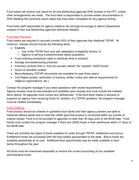Food banks will receive one report for all sub-distributing agencies DHS reviews in the FFY, unless other arrangements are made. The food bank is responsible to provide written documentation to DHS detailing the corrective action steps that have been completed for any agency finding.

Food bank staff responsible for agency relations are strongly encourage to attend Department reviews of their sub-distributing agencies whenever feasible.

## Food Bank Reviews

Food banks are required to annually monitor 50% of their agencies that distribute TEFAP. At minimum, reviews should include the following items:

- **•** Eligibility
	- o Use of the TEFAP form and self–attestation of eligibility factors, or
	- $\circ$  Agency is serving a predominantly needy population
- Food ordering procedures (able to distribute what is ordered)
- Storage and warehousing practices
- Inventory controls (first in, first out concept utilized. No "expired" USDA foods)
- Hours of operation posted
- Recordkeeping (TEFAP documents are available for past three years)
- Civil Rights (poster, verification of training, written notice and referral requirements for religious organizations, etc.)

Contact the program manager if you need assistance with review requirements.

Agency reviews must be documented and available upon request and must include the bulleted items above. All agencies must correct any deficiencies. If the food bank makes a decision to suspend an agency from receiving foods for violation of a TEFAP guideline, the program manager must be notified immediately.

#### Food Ordering

Food product should be ordered in quantities food banks and their agency partners are able to distribute without waste and to meet the USDA goal that product is consumed within six months of original receipt. Food is to be provided to agencies no later than 30 days prior to the BIUB date. Food banks must contact the program manager if there are USDA foods in their warehouse within 21 days of the BIUB date.

There are primarily two types of foods available for order through TEFAP, entitlement and bonus. Entitlement foods are purchased with the food dollars appropriated to the state. Bonus foods are available periodically at no cost. Additional food opportunities may be made available to food banks throughout the year.

All foods must be inventoried separately to ensure the correct accounting of any available administrative funds.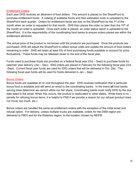#### Entitlement Orders

Each year DHS receives an allotment of food dollars. This amount is placed on the SharePoint to purchase entitlement foods. A catalog of available foods and their estimated costs is uploaded to the SharePoint each quarter. Orders for entitlement foods are due on the SharePoint by the 1<sup>st</sup> of the month when an order is requested for that month. DHS then places the order no later than the 10<sup>th</sup> of the month an order is uploaded. Once each order is placed, an order status report is uploaded to the SharePoint. It is the responsibility of the coordinating food banks to ensure orders placed are within the entitlement allotment.

The actual price of the product is not known until the product*s* are purchased. Once the products are purchased, DHS will adjust the SharePoint to reflect actual costs and update the amount of food dollars remaining to order. DHS will retain at least 5% of food purchasing funds available to account for price fluctuations. These funds may be released closer to the end of the fiscal year.

Funds used to purchase foods are provided on a federal fiscal year (Oct – Sept) to purchase foods for calendar year delivery (Jan – Dec). IDIQ orders are placed in February for the following fiscal year (Oct -Sept). Current fiscal year funds are used for IDIQ orders that will be delivered in Oct- Dec. The following fiscal year funds will be used for foods delivered in Jan – Sept.

#### Bonus Orders

Bonus foods are available at no cost throughout the year. DHS receives notification that a particular bonus food is available and will send an email to the coordinating banks. In the event **all** food banks serving Iowa determine we cannot utilize our fair share, Coordinating banks must notify DHS by the due date listed in the email. When this occurs, the product is reallocated to other states. While there is no penalty for refusing bonus items, it is helpful to FNS if we provide a reason for our refusal (product does not move, too much, etc.).

Bonus orders are handled the same as entitlement orders with the exception of the initial email and refusal option. For delivery, unless multiple trucks are available, orders for the DSM region are delivered to FBOI and for the Waterloo region, to the location chosen by NEIFB.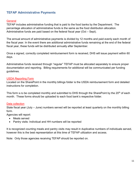# **TEFAP Administrative Payments**

#### **General**

TEFAP includes administrative funding that is paid to the food banks by the Department. The percentage allocation of administrative funds is the same as the food distribution allocation. Administrative funds are paid based on the federal fiscal year (Oct – Sept).

The annual amount of administrative payments is divided by 12 months and paid evenly each month of the fiscal year. In the event there are additional administrative funds remaining at the end of the federal fiscal year, these funds will be distributed annually after September.

Once a signed, correctly completed reimbursement form is received, DHS will issue payment within 60 days.

Administrative funds received through "regular" TEFAP must be allocated separately to ensure proper documentation and reporting. Billing requirements for additional will be communicated per funding guidelines.

#### USDA Reporting Form

Located on the SharePoint in the monthly billings folder is the USDA reimbursement form and detailed instructions for completion.

This form is to be completed monthly and submitted to DHS through the SharePoint by the 20<sup>th</sup> of each month. These forms should be uploaded to each food bank's respective folder.

#### Data collection

State fiscal year (July – June) numbers served will be reported at least quarterly on the monthly billing form.

Agencies will report:

- Meals served
- Pantry visits: Individual and HH numbers will be reported

It is recognized counting meals and pantry visits may result in duplicative numbers of individuals served, however this is the best representation at this time of TEFAP utilization and access.

Note: Only those agencies receiving TEFAP should be reported on.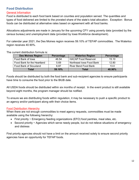# **Food Distribution**

#### General Information

Food is distributed to each food bank based on counties and population served. The quantities and types of food delivered are limited to the prorated share of the state's total allocation. Exception: Bonus foods can be distributed at alternative rates based on agreement with all food banks.

Allocations adjustments are made in January for the upcoming CFY using poverty data (provided by the census bureau) and unemployment data (provided by Iowa Workforce development).

For calendar year 2021, the Des Moines region receives 59.10% of TEFAP commodities. The Waterloo region receives 40.90%.

The current distribution formula is:

| <b>Des Moines Region</b>    | Percentage | <b>Waterloo Region</b>      | Percentage |
|-----------------------------|------------|-----------------------------|------------|
| Food Bank of Iowa           | 46.54      | <b>HACAP Food Reservoir</b> | 15.10      |
| Food Bank for the Heartland | 5.69       | Northeast Iowa Food Bank    | 12.80      |
| Food Bank of Siouxland      | 6.87       | <b>River Bend Food Bank</b> | 13.0       |
| Total                       | 59.10%     | Total                       | 40.90%     |

Foods should be distributed by both the food bank and sub-recipient agencies to ensure participants have time to consume the food prior to the BIUB date.

All USDA foods should be distributed within six months of receipt. In the event product is still available beyond eight months, the program manager should be notified.

To ensure we are distributing foods within regulation, it may be necessary to push a specific product to an agency and/or participant along with their choice items.

#### Food Distribution Hierarchy

When there are not enough commodities to meet agency requests, commodities must be made available using the following hierarchy:

- First priority  $\sim$  Emergency feeding organizations (EFO) food pantries, meal sites, etc.
- Second priority ~ Agencies which serve needy people, but do not relieve situations of emergency and distress

First priority agencies should not have a limit on the amount received solely to ensure second priority agencies have an opportunity for TEFAP foods.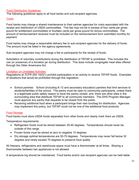#### Food Distribution Guidelines

The following guidelines apply to all food banks and sub-recipient agencies.

#### **Costs**

Food banks may charge a shared maintenance to their partner agencies for costs associated with the receipt and distribution of USDA commodities. This fee may not be in excess of four cents per gross pound for entitlement commodities or fourteen cents per gross pound for bonus commodities. The amount of reimbursement received must be included on the reimbursement form submitted monthly for payment.

Food banks may charge a reasonable delivery fee to sub-recipient agencies for the delivery of foods. The amount must be listed in the agency agreements.

Sub-recipient agencies may not charge a fee to participants for the receipt of foods.

Solicitation of voluntary contributions during the distribution of TEFAP is prohibited. This includes the use (or presence) of a donation jar during distribution. This does include congregate meal sites offered through the Older Americans Act.

#### Limitation on Unrelated Activities

Regulations at 7CFR 250.10(f)(1) prohibit participation in an activity to receive TEFAP foods. Examples of situations that would be prohibited through this regulation:

- School pantries: School (including K-12 and secondary education) pantries that limit services to students/families of the school. The pantry must be open to community participants, unless there is a legitimate public safety reason to have the pantry closed, and, there are other sites in the surrounding area that distribute TEFAP to all community members. The DHS Program Manager must approve any pantry that requests to be closed from the public.
- Receiving additional food when a participant brings their own box/bag for distribution. Agencies may implement this policy, but TEFAP could not be one of the additional food products.

#### **Food Storage**

Food banks must store USDA foods separately from other foods and clearly mark them as USDA.

Temperature requirements:

- Refrigerator foods must be stored between 35-40 degrees. Temperatures should never be outside of this range.
- Frozen foods must be stored at zero to negative 10 degrees
- Dry storage optimal temperatures are 50-70 degrees. Temperatures may never fall below 32 degrees and rarely exceed 70 degrees to preserve food quality.

All freezers, refrigerators and warehouse space must have a thermometer at all times. Sharing a thermometer between two appliances is not allowed.

A temperature log should be maintained. Food banks and/or sub-recipient agencies can be held liable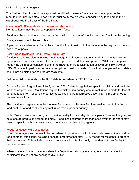for food loss due to neglect.

The "first -expired, first out" concept must be utilized to ensure foods are consumed prior to the manufacturer use-by dates. Food banks must notify the program manager if any foods are in their warehouse within 21 days of the BIUB date.

Inventory of USDA foods should not exceed six months. Non-food items must be stored separately from food.

Food must be at least four inches away from walls, six inches off the floor and two foot from the ceiling.

Storage areas should be kept clean.

A pest control system must be in place. Verification of pest control services may be required if there is evidence of pests.

## Best If Used By/Best If Used Before (BIUB) Date

Distributing and recipient agencies must manage their inventories to ensure that recipients have an opportunity to consume donated foods before product end dates have passed. While it is recognized foods may be in good condition beyond the BIUB date, Food Distribution policy memo 107 (revised) (FD-107) states in part, In order to ensure optimum quality, donated foods that have passed such dates should not be distributed to program recipients.

Failure to distribute foods by the BIUB date is considered a TEFAP food loss.

Code of Federal Regulations, Title 7, section 250.16 details regulations specific to claims and restitution for donated products. Regulations require the distributing agency ensure restitution is made for loss of donated foods from responsible parties as well as ensure a corrective action plan is implemented to prevent future loss.

The "distributing agency" may be the Iowa Department of Human Services seeking restitution from a food bank, or a food bank seeking restitution from a partner agency.

Note: We all have a common goal to provide quality foods to eligible participants. To meet this goal, we must ensure product is distributed timely. Food loss occurring more than once every three years may result in specific technical assistance to continue as a distributing agency.

#### Foods for Household Consumption

Examples of agencies that would be considered to provide foods for household consumption would be food pantries, transitional housing or shelter programs that offer TEFAP foods for residents to prepare their own meals. This includes housing programs who offer food only to residents of their facility to prepare themselves.

When space and time constraints allow, the Department strongly encourages choice pantries for participants instead of pre-packaged distribution.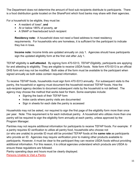The Department does not determine the amount of food sub-recipients distribute to participants. There is a food distribution guide located on the SharePoint which food banks may share with their agencies.

For a household to be eligible, they must be:

- A resident of Iowa\*, **and**
- At or below 185% of poverty, **or**
- A SNAP or free/reduced lunch recipient

**Residency note:** A household does not need a fixed address to meet residency requirements. For households who are homeless, it is sufficient for the participant to indicate they live in Iowa.

**Income note:** Income limits are updated annually on July 1. Agencies should have participants sign the updated eligibility form at the first visit after July 1.

TEFAP eligibility is **self-attested**. By signing form 470-5313, *TEFAP Eligibility*, participants are applying for and attesting to eligibility. They are eligible to receive USDA foods. Note form 470-5313 is an official DHS form and may not be modified. Both sides of the form must be available to the participant when signed annually as both sides contain required information.

To receive TEFAP foods, households must sign form 470-5313 annually. For subsequent visits to the pantry, the household or agency must document the household received TEFAP foods. How the sub-recipient agency decides to document subsequent visits by the household is not defined. The agency may choose the method that works best for them. Some examples include:

- Signing the back of their TEFAP form
- Index cards where pantry visits are documented
- Sign in sheets for each date the pantry is accessed

Households may not be asked, nor required to sign the first page of the eligibility form more than once per year. Note: This requirement is for each individual pantry. A household who utilizes more than one pantry will be required to sign the eligibility form annually at each pantry, unless approved by the Program Manager.

Pantries may not require additional information for participants to receive TEFAP foods. For example: If a pantry requires ID verification to utilize all pantry food, households who choose not (or who are unable) to provide ID must still be provided TEFAP foods at the **same rate** as participants who provide an ID. Agencies may require verification prior to making other products available to participants. However, it must be clear to the participant they can receive USDA foods without providing additional information. For this reason, it is critical agencies understand which products are USDA to ensure these regulations are followed.

Pantry operating days and hours must be clearly displayed.

Persons Unable to Visit a Pantry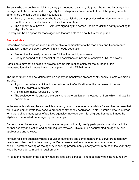Persons who are unable to visit the pantry (homebound, disabled, etc.) must be served by proxy when arrangements have been made. Eligibility for participants who are unable to visit the pantry must be determined the same as all other households.

- By proxy means the person who is unable to visit the panty provides written documentation that another person is able to receive their foods for them.
- The agency must have a TEFAP form signed by the person unable to visit the pantry attesting to eligibility factors.

Delivery can be an option for those agencies that are able to do so, but is not required.

## Prepared Meals

Sites which serve prepared meals must be able to demonstrate to the food bank and Department's satisfaction that they serve a predominantly needy population.

- Predominantly needy is defined as 51% of the participants served.
- Needy is defined as the receipt of food assistance or income at or below 185% of poverty.

Participants may not be asked to provide income information solely for the purpose of this demonstration; this includes having participants sign the TEFAP form.

The Department does not define how an agency demonstrates predominantly needy. Some examples include:

- A group home has participant income information/verification for the purposes of program eligibility, example: Medicaid.
- A child care facility receives CACFP.
- The socioeconomic data of the area where the organization is located, or from which it draws its participants.

In the examples above, the sub-recipient agency would have records available for another purpose that would also demonstrate they serve a predominantly needy population. Note: "Group home" is a broad term that defines many types of facilities agencies may operate. Not all group homes will meet the eligibility criteria listed under agency partnerships.

Demonstration by an agency of how they serve predominantly needy participants is required at initial partner agency application and all subsequent reviews. This must be documented on agency initial applications and reviews.

For sub-recipient agencies whose population fluctuates and some months they serve predominantly needy and other months they do not, the Department considers the numbers on an annual basis. Therefore as long as the agency is serving predominantly needy seven months of the year, they would be considered meeting requirements.

At least one member of the agency must be food safe certified. The food safety training required by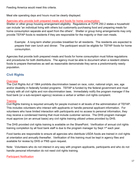Feeding America would meet this criteria.

Meal site operating days and hours must be clearly displayed.

#### Agencies who provide both prepared meals and foods for home consumption:

Shelter or other group housing arrangement eligibility: Regulations at 7CFR 250.2 states a household can include "an individual living with others but customarily purchasing food and preparing meals for home consumption separate and apart from the others". Shelter or group living arrangements may only provide TEFAP foods to residents if they are responsible for the majority or their own meals.

Example: A long-term shelter provides breakfast for all residents. The residents are expected to prepare their own lunch and dinner. The participant would be eligible for TEFAP foods for home consumption.

Agencies that provide both prepared meals and foods for home consumption must follow regulations and procedures for both distributions. The agency must be able to document when a resident obtains foods to prepare themselves as well as reasonable demonstrate they serve a predominantly needy population.

# **Civil Rights**

#### **Overview**

The Civil Rights Act of 1964 prohibits discrimination based on race, color, national origin, sex, age and/or disability in federally funded programs. TEFAP is funded by the federal government and must comply with all civil rights and non-discrimination laws. Immediately notify the program manager if the food bank (or a sub-recipient agency) receives a verbal or written civil rights complaint.

#### **Training**

Civil Rights training is required annually for people involved in all levels of the administration of TEFAP. This includes volunteers who interact with applicants or handle personal applicant information. For volunteers who have limited interaction with participants and no access to personal information, they may receive a condensed training that must include customer service. The DHS program manager must approve (on an annual basis) any civil rights training utilized unless provided by DHS.

The DHS provided civil rights training is available on the SharePoint. Verification of annual civil rights training completion by all food bank staff is due to the program manager by Sept 1<sup>st</sup> each year.

Food banks are responsible to ensure all agencies who distribute USDA foods are trained in civil rights at orientation and annually thereafter. Verification of this training must be kept in agency files and available for review by DHS or FNS upon request.

Note: Volunteers who do not interact in any way with program applicants, participants and who do not handle personal information do not need civil rights training.

Participant Notification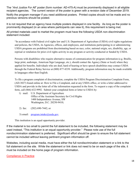The "*And Justice For All*" poster (form number: AD-475-A) must be prominently displayed in all eligible recipient agencies. The current version of the poster is green with a revision date of December 2019. Notify the program manager if you need additional posters. Printed copies should not be made and no previous versions should be posted.

It is not required that an agency have multiple posters displayed in one facility. As long as the poster is prominently displayed (in an area where participants can view it), this requirement is being met.

All printed materials used to market the program must have the following USDA non-discrimination statement included:

"In accordance with Federal civil rights law and U.S. Department of Agriculture (USDA) civil rights regulations and policies, the USDA, its Agencies, offices, and employees, and institutions participating in or administering USDA programs are prohibited from discriminating based on race, color, national origin, sex, disability, age, or reprisal or retaliation for prior civil rights activity in any program or activity conducted or funded by USDA.

Persons with disabilities who require alternative means of communication for program information (e.g. Braille, large print, audiotape, American Sign Language, etc.), should contact the Agency (State or local) where they applied for benefits. Individuals who are deaf, hard of hearing or have speech disabilities may contact USDA through the Federal Relay Service at (800) 877-8339. Additionally, program information may be made available in languages other than English.

To file a program complaint of discrimination, complete the USDA Program Discrimination Complaint Form, (AD-3027) found online at: How to File a Complaint, and at any USDA office, or write a letter addressed to USDA and provide in the letter all of the information requested in the form. To request a copy of the complaint form, call (866) 632-9992. Submit your completed form or letter to USDA by:

- 1) mail: U.S. Department of Agriculture Office of the Assistant Secretary for Civil Rights 1400 Independence Avenue, SW Washington, D.C. 20250-9410;
- 2) fax: (202) 690-7442; or
- 3) email: program.intake@usda.gov.

This institution is an equal opportunity provider.

If the material is too small to permit the full statement to be included, the following statement may be used instead, "This institution is an equal opportunity provider." Please note use of the full nondiscrimination statement is preferred. Significant effort should be given to ensure the full statement cannot be included without leaving pertinent program information off.

Websites, including social media, must have either the full nondiscrimination statement or a link to the full statement on the site. While the statement or link does not need to be on each page of the site, it must be included on the home page of program information.

Compliance in Practice